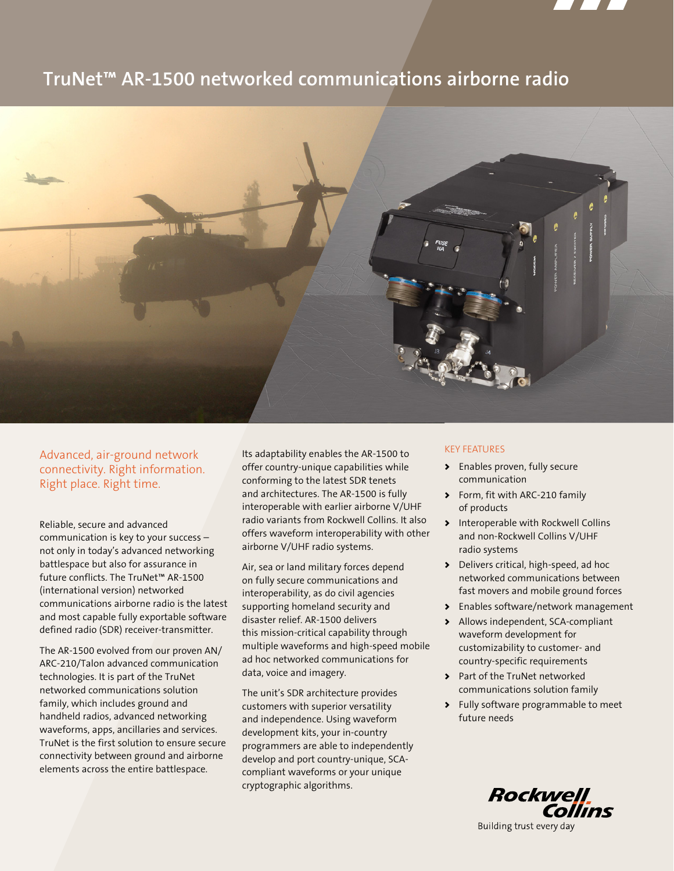

# **TruNet™ AR-1500 networked communications airborne radio**



Advanced, air-ground network connectivity. Right information. Right place. Right time.

Reliable, secure and advanced communication is key to your success – not only in today's advanced networking battlespace but also for assurance in future conflicts. The TruNet™ AR-1500 (international version) networked communications airborne radio is the latest and most capable fully exportable software defined radio (SDR) receiver-transmitter.

The AR-1500 evolved from our proven AN/ ARC-210/Talon advanced communication technologies. It is part of the TruNet networked communications solution family, which includes ground and handheld radios, advanced networking waveforms, apps, ancillaries and services. TruNet is the first solution to ensure secure connectivity between ground and airborne elements across the entire battlespace.

Its adaptability enables the AR-1500 to offer country-unique capabilities while conforming to the latest SDR tenets and architectures. The AR-1500 is fully interoperable with earlier airborne V/UHF radio variants from Rockwell Collins. It also offers waveform interoperability with other airborne V/UHF radio systems.

Air, sea or land military forces depend on fully secure communications and interoperability, as do civil agencies supporting homeland security and disaster relief. AR-1500 delivers this mission-critical capability through multiple waveforms and high-speed mobile ad hoc networked communications for data, voice and imagery.

The unit's SDR architecture provides customers with superior versatility and independence. Using waveform development kits, your in-country programmers are able to independently develop and port country-unique, SCAcompliant waveforms or your unique cryptographic algorithms.

# KEY FEATURES

- > Enables proven, fully secure communication
- > Form, fit with ARC-210 family of products
- > Interoperable with Rockwell Collins and non-Rockwell Collins V/UHF radio systems
- > Delivers critical, high-speed, ad hoc networked communications between fast movers and mobile ground forces
- > Enables software/network management
- > Allows independent, SCA-compliant waveform development for customizability to customer- and country-specific requirements
- > Part of the TruNet networked communications solution family
- > Fully software programmable to meet future needs